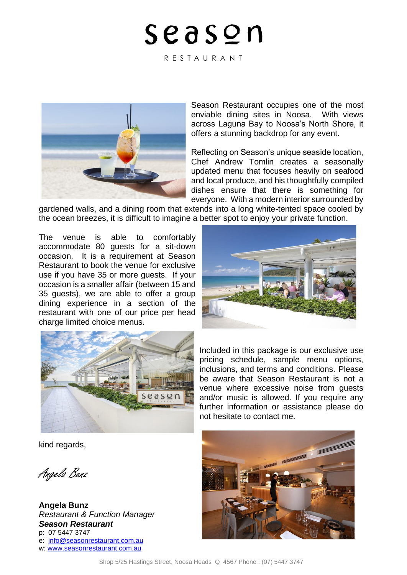RESTAURANT



Season Restaurant occupies one of the most enviable dining sites in Noosa. With views across Laguna Bay to Noosa's North Shore, it offers a stunning backdrop for any event.

Reflecting on Season's unique seaside location, Chef Andrew Tomlin creates a seasonally updated menu that focuses heavily on seafood and local produce, and his thoughtfully compiled dishes ensure that there is something for everyone. With a modern interior surrounded by

gardened walls, and a dining room that extends into a long white-tented space cooled by the ocean breezes, it is difficult to imagine a better spot to enjoy your private function.

The venue is able to comfortably accommodate 80 guests for a sit-down occasion. It is a requirement at Season Restaurant to book the venue for exclusive use if you have 35 or more guests. If your occasion is a smaller affair (between 15 and 35 guests), we are able to offer a group dining experience in a section of the restaurant with one of our price per head charge limited choice menus.





Included in this package is our exclusive use pricing schedule, sample menu options, inclusions, and terms and conditions. Please be aware that Season Restaurant is not a venue where excessive noise from guests and/or music is allowed. If you require any further information or assistance please do not hesitate to contact me.

kind regards,

Angela Bunz

**Angela Bunz** *Restaurant & Function Manager Season Restaurant* p: 07 5447 3747 e: [info@seasonrestaurant.com.au](mailto:info@seasonrestaurant.com.au) w: [www.seasonrestaurant.com.au](http://www.seasonrestaurant.com.au/)

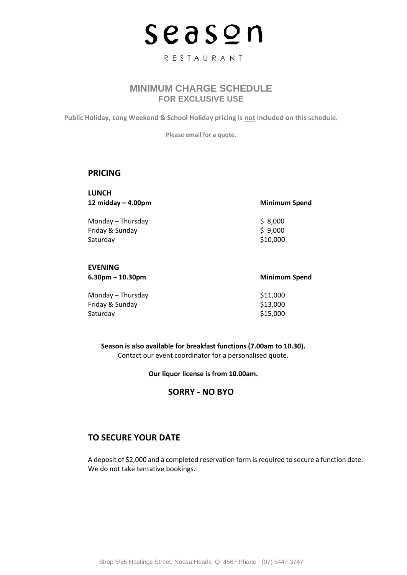### RESTAURANT

# **MINIMUM CHARGE SCHEDULE FOR EXCLUSIVE USE**

**Public Holiday, Long Weekend & School Holiday pricing is not included on this schedule.** 

**Please email for a quote.**

### **PRICING**

**LUNCH 12 midday – 4.00pm Minimum Spend**

Monday – Thursday  $$8,000$ Friday & Sunday  $\frac{1}{2}$  9,000 Saturday \$10,000

### **EVENING**

**6.30pm – 10.30pm Minimum Spend**

| Monday – Thursday | \$11,000 |
|-------------------|----------|
| Friday & Sunday   | \$13,000 |
| Saturdav          | \$15,000 |

**Season is also available for breakfast functions (7.00am to 10.30).** Contact our event coordinator for a personalised quote.

**Our liquor license is from 10.00am.**

# **SORRY - NO BYO**

# **TO SECURE YOUR DATE**

A deposit of \$2,000 and a completed reservation form is required to secure a function date. We do not take tentative bookings.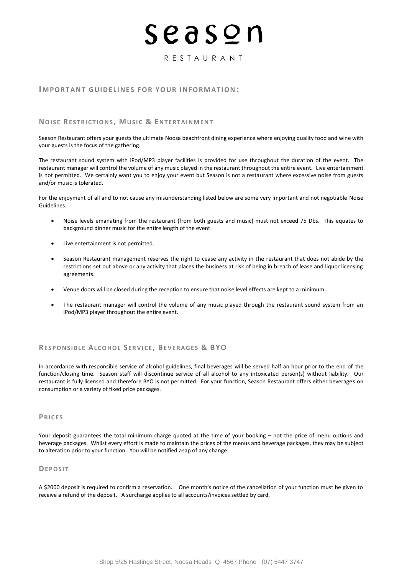### RESTAURANT

#### **IMPORTANT GUIDELINES FOR YOUR INFORMATION:**

#### **NOISE RESTRICTIONS, MUSIC & ENTERTAINMENT**

Season Restaurant offers your guests the ultimate Noosa beachfront dining experience where enjoying quality food and wine with your guests is the focus of the gathering.

The restaurant sound system with iPod/MP3 player facilities is provided for use throughout the duration of the event. The restaurant manager will control the volume of any music played in the restaurant throughout the entire event. Live entertainment is not permitted. We certainly want you to enjoy your event but Season is not a restaurant where excessive noise from guests and/or music is tolerated.

For the enjoyment of all and to not cause any misunderstanding listed below are some very important and not negotiable Noise Guidelines.

- Noise levels emanating from the restaurant (from both guests and music) must not exceed 75 Dbs. This equates to background dinner music for the entire length of the event.
- Live entertainment is not permitted.
- Season Restaurant management reserves the right to cease any activity in the restaurant that does not abide by the restrictions set out above or any activity that places the business at risk of being in breach of lease and liquor licensing agreements.
- Venue doors will be closed during the reception to ensure that noise level effects are kept to a minimum.
- The restaurant manager will control the volume of any music played through the restaurant sound system from an iPod/MP3 player throughout the entire event.

### **RE S P O N S I B L E AL C O H O L S E R V I C E , BE V E R A G E S & B YO**

In accordance with responsible service of alcohol guidelines, final beverages will be served half an hour prior to the end of the function/closing time. Season staff will discontinue service of all alcohol to any intoxicated person(s) without liability. Our restaurant is fully licensed and therefore BYO is not permitted. For your function, Season Restaurant offers either beverages on consumption or a variety of fixed price packages.

### **P R I C E S**

Your deposit guarantees the total minimum charge quoted at the time of your booking – not the price of menu options and beverage packages. Whilst every effort is made to maintain the prices of the menus and beverage packages, they may be subject to alteration prior to your function. You will be notified asap of any change.

#### **DE P O S I T**

A \$2000 deposit is required to confirm a reservation. One month's notice of the cancellation of your function must be given to receive a refund of the deposit. A surcharge applies to all accounts/invoices settled by card.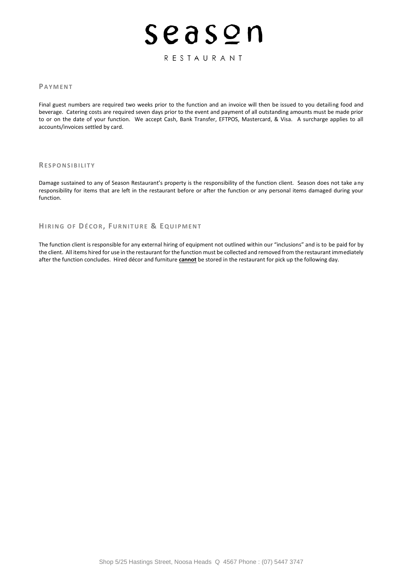## RESTAURANT

### **PA Y M E N T**

Final guest numbers are required two weeks prior to the function and an invoice will then be issued to you detailing food and beverage. Catering costs are required seven days prior to the event and payment of all outstanding amounts must be made prior to or on the date of your function. We accept Cash, Bank Transfer, EFTPOS, Mastercard, & Visa. A surcharge applies to all accounts/invoices settled by card.

#### **RE S P O N S I B I L I T Y**

Damage sustained to any of Season Restaurant's property is the responsibility of the function client. Season does not take any responsibility for items that are left in the restaurant before or after the function or any personal items damaged during your function.

#### **HI R I N G O F DÉ C O R, FU R N I T U R E & EQ U I P M E N T**

The function client is responsible for any external hiring of equipment not outlined within our "inclusions" and is to be paid for by the client. All items hired for use in the restaurant for the function must be collected and removed from the restaurant immediately after the function concludes. Hired décor and furniture **cannot** be stored in the restaurant for pick up the following day.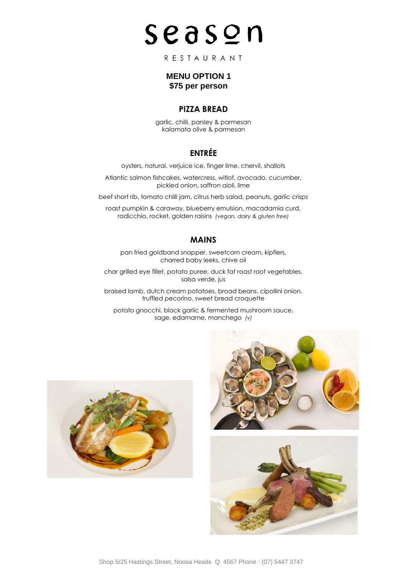RESTAURANT

# **MENU OPTION 1 \$75 per person**

# **PIZZA BREAD**

garlic, chilli, parsley & parmesan kalamata olive & parmesan

# **ENTRÉE**

oysters, natural, verjuice ice, finger lime, chervil, shallots

Atlantic salmon fishcakes, watercress, witlof, avocado, cucumber, pickled onion, saffron aioli, lime

beef short rib, tomato chilli jam, citrus herb salad, peanuts, garlic crisps

roast pumpkin & caraway, blueberry emulsion, macadamia curd, radicchio, rocket, golden raisins *(vegan, dairy & gluten free)*

# **MAINS**

pan fried goldband snapper, sweetcorn cream, kipflers, charred baby leeks, chive oil

char grilled eye fillet, potato puree, duck fat roast root vegetables, salsa verde, jus

braised lamb, dutch cream potatoes, broad beans, cipollini onion, truffled pecorino, sweet bread croquette

potato gnocchi, black garlic & fermented mushroom sauce, sage, edamame, manchego *(v)*



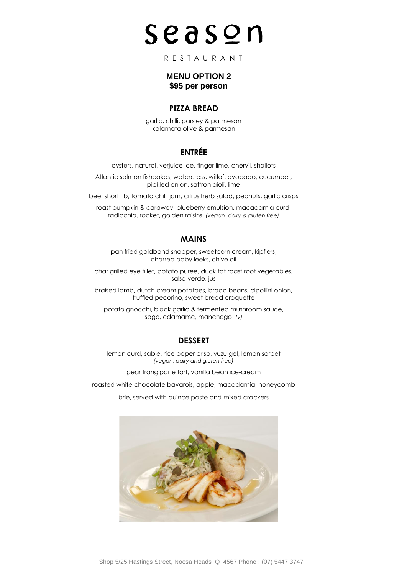RESTAURANT

# **MENU OPTION 2 \$95 per person**

## **PIZZA BREAD**

garlic, chilli, parsley & parmesan kalamata olive & parmesan

# **ENTRÉE**

oysters, natural, verjuice ice, finger lime, chervil, shallots

Atlantic salmon fishcakes, watercress, witlof, avocado, cucumber, pickled onion, saffron aioli, lime

beef short rib, tomato chilli jam, citrus herb salad, peanuts, garlic crisps

roast pumpkin & caraway, blueberry emulsion, macadamia curd, radicchio, rocket, golden raisins *(vegan, dairy & gluten free)*

# **MAINS**

pan fried goldband snapper, sweetcorn cream, kipflers, charred baby leeks, chive oil

char grilled eye fillet, potato puree, duck fat roast root vegetables, salsa verde, jus

braised lamb, dutch cream potatoes, broad beans, cipollini onion, truffled pecorino, sweet bread croquette

potato gnocchi, black garlic & fermented mushroom sauce, sage, edamame, manchego *(v)*

# **DESSERT**

lemon curd, sable, rice paper crisp, yuzu gel, lemon sorbet *(vegan, dairy and gluten free)*

pear frangipane tart, vanilla bean ice-cream

roasted white chocolate bavarois, apple, macadamia, honeycomb

brie, served with quince paste and mixed crackers

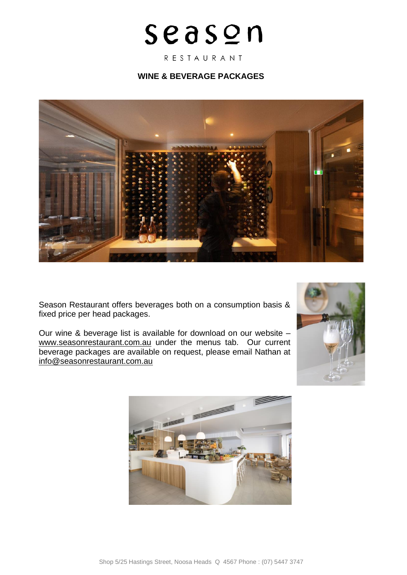RESTAURANT

# **WINE & BEVERAGE PACKAGES**



Season Restaurant offers beverages both on a consumption basis & fixed price per head packages.

Our wine & beverage list is available for download on our website – [www.seasonrestaurant.com.au](http://www.seasonrestaurant.com.au/) under the menus tab. Our current beverage packages are available on request, please email Nathan at [info@seasonrestaurant.com.au](mailto:info@seasonrestaurant.com.au)